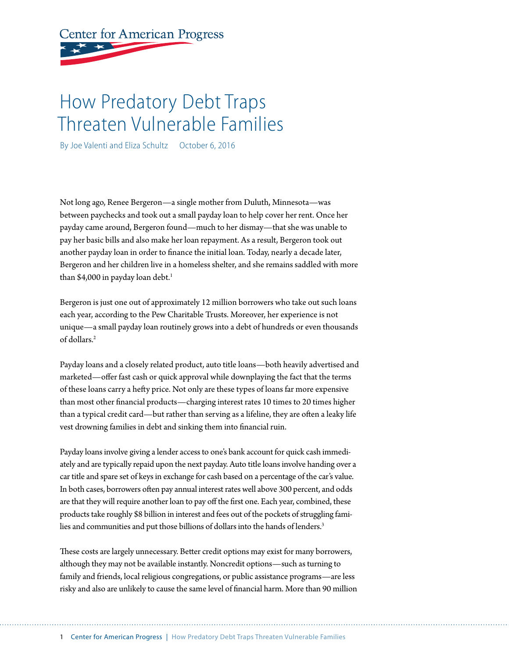# **Center for American Progress**

## How Predatory Debt Traps Threaten Vulnerable Families

By Joe Valenti and Eliza Schultz October 6, 2016

Not long ago, Renee Bergeron—a single mother from Duluth, Minnesota—was between paychecks and took out a small payday loan to help cover her rent. Once her payday came around, Bergeron found—much to her dismay—that she was unable to pay her basic bills and also make her loan repayment. As a result, Bergeron took out another payday loan in order to finance the initial loan. Today, nearly a decade later, Bergeron and her children live in a homeless shelter, and she remains saddled with more than \$4,000 in payday loan debt. $<sup>1</sup>$ </sup>

Bergeron is just one out of approximately 12 million borrowers who take out such loans each year, according to the Pew Charitable Trusts. Moreover, her experience is not unique—a small payday loan routinely grows into a debt of hundreds or even thousands of dollars.<sup>2</sup>

Payday loans and a closely related product, auto title loans—both heavily advertised and marketed—offer fast cash or quick approval while downplaying the fact that the terms of these loans carry a hefty price. Not only are these types of loans far more expensive than most other financial products—charging interest rates 10 times to 20 times higher than a typical credit card—but rather than serving as a lifeline, they are often a leaky life vest drowning families in debt and sinking them into financial ruin.

Payday loans involve giving a lender access to one's bank account for quick cash immediately and are typically repaid upon the next payday. Auto title loans involve handing over a car title and spare set of keys in exchange for cash based on a percentage of the car's value. In both cases, borrowers often pay annual interest rates well above 300 percent, and odds are that they will require another loan to pay off the first one. Each year, combined, these products take roughly \$8 billion in interest and fees out of the pockets of struggling families and communities and put those billions of dollars into the hands of lenders.<sup>3</sup>

These costs are largely unnecessary. Better credit options may exist for many borrowers, although they may not be available instantly. Noncredit options—such as turning to family and friends, local religious congregations, or public assistance programs—are less risky and also are unlikely to cause the same level of financial harm. More than 90 million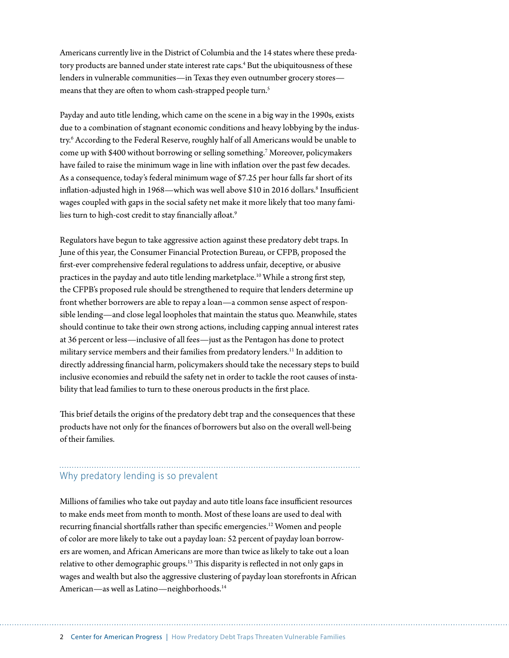Americans currently live in the District of Columbia and the 14 states where these predatory products are banned under state interest rate caps.<sup>4</sup> But the ubiquitousness of these lenders in vulnerable communities—in Texas they even outnumber grocery stores means that they are often to whom cash-strapped people turn.<sup>5</sup>

Payday and auto title lending, which came on the scene in a big way in the 1990s, exists due to a combination of stagnant economic conditions and heavy lobbying by the industry.6 According to the Federal Reserve, roughly half of all Americans would be unable to come up with \$400 without borrowing or selling something.7 Moreover, policymakers have failed to raise the minimum wage in line with inflation over the past few decades. As a consequence, today's federal minimum wage of \$7.25 per hour falls far short of its inflation-adjusted high in 1968—which was well above \$10 in 2016 dollars.<sup>8</sup> Insufficient wages coupled with gaps in the social safety net make it more likely that too many families turn to high-cost credit to stay financially afloat.<sup>9</sup>

Regulators have begun to take aggressive action against these predatory debt traps. In June of this year, the Consumer Financial Protection Bureau, or CFPB, proposed the first-ever comprehensive federal regulations to address unfair, deceptive, or abusive practices in the payday and auto title lending marketplace.10 While a strong first step, the CFPB's proposed rule should be strengthened to require that lenders determine up front whether borrowers are able to repay a loan—a common sense aspect of responsible lending—and close legal loopholes that maintain the status quo. Meanwhile, states should continue to take their own strong actions, including capping annual interest rates at 36 percent or less—inclusive of all fees—just as the Pentagon has done to protect military service members and their families from predatory lenders.<sup>11</sup> In addition to directly addressing financial harm, policymakers should take the necessary steps to build inclusive economies and rebuild the safety net in order to tackle the root causes of instability that lead families to turn to these onerous products in the first place.

This brief details the origins of the predatory debt trap and the consequences that these products have not only for the finances of borrowers but also on the overall well-being of their families.

### Why predatory lending is so prevalent

Millions of families who take out payday and auto title loans face insufficient resources to make ends meet from month to month. Most of these loans are used to deal with recurring financial shortfalls rather than specific emergencies.12 Women and people of color are more likely to take out a payday loan: 52 percent of payday loan borrowers are women, and African Americans are more than twice as likely to take out a loan relative to other demographic groups.<sup>13</sup> This disparity is reflected in not only gaps in wages and wealth but also the aggressive clustering of payday loan storefronts in African American—as well as Latino—neighborhoods.14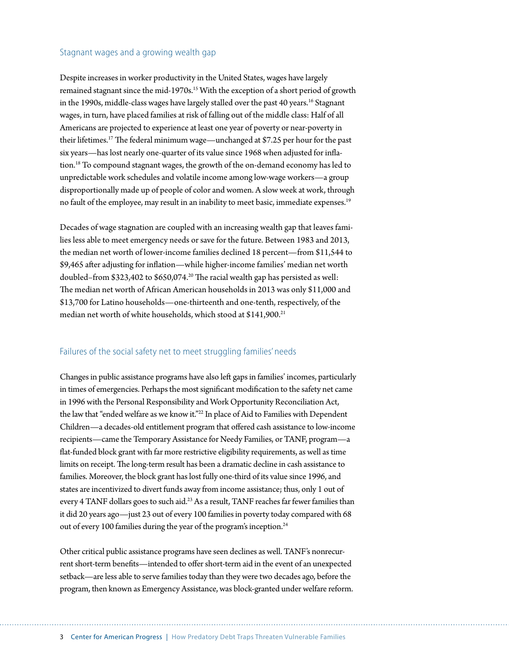#### Stagnant wages and a growing wealth gap

Despite increases in worker productivity in the United States, wages have largely remained stagnant since the mid-1970s.<sup>15</sup> With the exception of a short period of growth in the 1990s, middle-class wages have largely stalled over the past 40 years.<sup>16</sup> Stagnant wages, in turn, have placed families at risk of falling out of the middle class: Half of all Americans are projected to experience at least one year of poverty or near-poverty in their lifetimes.17 The federal minimum wage—unchanged at \$7.25 per hour for the past six years—has lost nearly one-quarter of its value since 1968 when adjusted for inflation.18 To compound stagnant wages, the growth of the on-demand economy has led to unpredictable work schedules and volatile income among low-wage workers—a group disproportionally made up of people of color and women. A slow week at work, through no fault of the employee, may result in an inability to meet basic, immediate expenses.<sup>19</sup>

Decades of wage stagnation are coupled with an increasing wealth gap that leaves families less able to meet emergency needs or save for the future. Between 1983 and 2013, the median net worth of lower-income families declined 18 percent—from \$11,544 to \$9,465 after adjusting for inflation—while higher-income families' median net worth doubled–from \$323,402 to \$650,074.<sup>20</sup> The racial wealth gap has persisted as well: The median net worth of African American households in 2013 was only \$11,000 and \$13,700 for Latino households—one-thirteenth and one-tenth, respectively, of the median net worth of white households, which stood at \$141,900.<sup>21</sup>

### Failures of the social safety net to meet struggling families' needs

Changes in public assistance programs have also left gaps in families' incomes, particularly in times of emergencies. Perhaps the most significant modification to the safety net came in 1996 with the Personal Responsibility and Work Opportunity Reconciliation Act, the law that "ended welfare as we know it."<sup>22</sup> In place of Aid to Families with Dependent Children—a decades-old entitlement program that offered cash assistance to low-income recipients—came the Temporary Assistance for Needy Families, or TANF, program—a flat-funded block grant with far more restrictive eligibility requirements, as well as time limits on receipt. The long-term result has been a dramatic decline in cash assistance to families. Moreover, the block grant has lost fully one-third of its value since 1996, and states are incentivized to divert funds away from income assistance; thus, only 1 out of every 4 TANF dollars goes to such aid.<sup>23</sup> As a result, TANF reaches far fewer families than it did 20 years ago—just 23 out of every 100 families in poverty today compared with 68 out of every 100 families during the year of the program's inception.<sup>24</sup>

Other critical public assistance programs have seen declines as well. TANF's nonrecurrent short-term benefits—intended to offer short-term aid in the event of an unexpected setback—are less able to serve families today than they were two decades ago, before the program, then known as Emergency Assistance, was block-granted under welfare reform.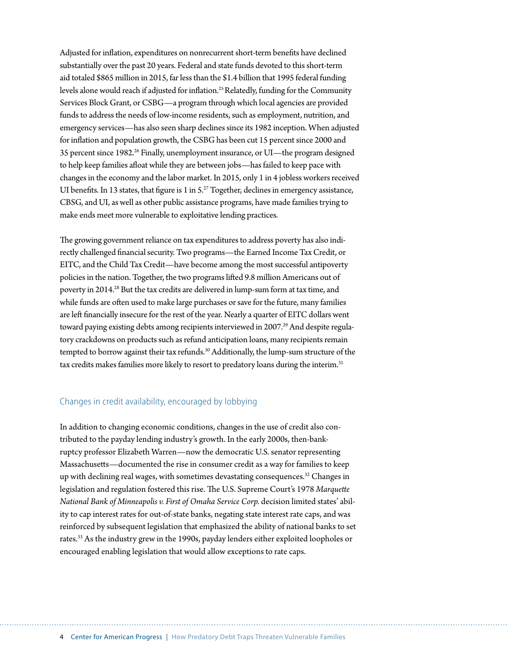Adjusted for inflation, expenditures on nonrecurrent short-term benefits have declined substantially over the past 20 years. Federal and state funds devoted to this short-term aid totaled \$865 million in 2015, far less than the \$1.4 billion that 1995 federal funding levels alone would reach if adjusted for inflation.25 Relatedly, funding for the Community Services Block Grant, or CSBG—a program through which local agencies are provided funds to address the needs of low-income residents, such as employment, nutrition, and emergency services—has also seen sharp declines since its 1982 inception. When adjusted for inflation and population growth, the CSBG has been cut 15 percent since 2000 and 35 percent since 1982.26 Finally, unemployment insurance, or UI—the program designed to help keep families afloat while they are between jobs—has failed to keep pace with changes in the economy and the labor market. In 2015, only 1 in 4 jobless workers received UI benefits. In 13 states, that figure is 1 in  $5.^{27}$  Together, declines in emergency assistance, CBSG, and UI, as well as other public assistance programs, have made families trying to make ends meet more vulnerable to exploitative lending practices.

The growing government reliance on tax expenditures to address poverty has also indirectly challenged financial security. Two programs—the Earned Income Tax Credit, or EITC, and the Child Tax Credit—have become among the most successful antipoverty policies in the nation. Together, the two programs lifted 9.8 million Americans out of poverty in 2014.28 But the tax credits are delivered in lump-sum form at tax time, and while funds are often used to make large purchases or save for the future, many families are left financially insecure for the rest of the year. Nearly a quarter of EITC dollars went toward paying existing debts among recipients interviewed in 2007.<sup>29</sup> And despite regulatory crackdowns on products such as refund anticipation loans, many recipients remain tempted to borrow against their tax refunds.<sup>30</sup> Additionally, the lump-sum structure of the tax credits makes families more likely to resort to predatory loans during the interim.<sup>31</sup>

### Changes in credit availability, encouraged by lobbying

In addition to changing economic conditions, changes in the use of credit also contributed to the payday lending industry's growth. In the early 2000s, then-bankruptcy professor Elizabeth Warren—now the democratic U.S. senator representing Massachusetts—documented the rise in consumer credit as a way for families to keep up with declining real wages, with sometimes devastating consequences.32 Changes in legislation and regulation fostered this rise. The U.S. Supreme Court's 1978 *Marquette National Bank of Minneapolis v. First of Omaha Service Corp.* decision limited states' ability to cap interest rates for out-of-state banks, negating state interest rate caps, and was reinforced by subsequent legislation that emphasized the ability of national banks to set rates.33 As the industry grew in the 1990s, payday lenders either exploited loopholes or encouraged enabling legislation that would allow exceptions to rate caps.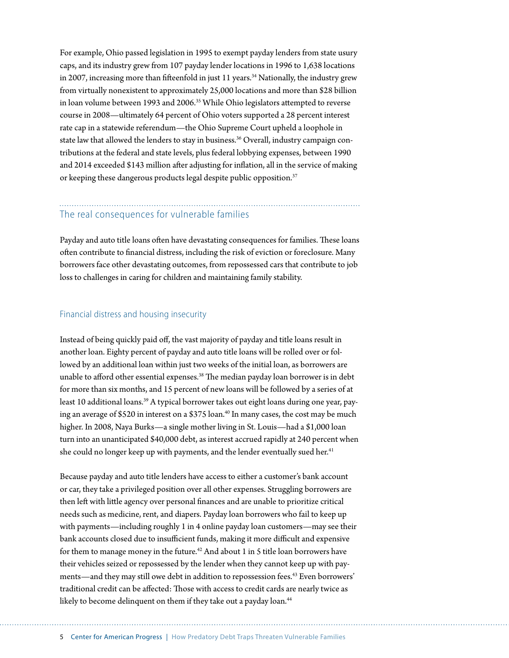For example, Ohio passed legislation in 1995 to exempt payday lenders from state usury caps, and its industry grew from 107 payday lender locations in 1996 to 1,638 locations in 2007, increasing more than fifteenfold in just 11 years.<sup>34</sup> Nationally, the industry grew from virtually nonexistent to approximately 25,000 locations and more than \$28 billion in loan volume between 1993 and 2006.<sup>35</sup> While Ohio legislators attempted to reverse course in 2008—ultimately 64 percent of Ohio voters supported a 28 percent interest rate cap in a statewide referendum—the Ohio Supreme Court upheld a loophole in state law that allowed the lenders to stay in business.<sup>36</sup> Overall, industry campaign contributions at the federal and state levels, plus federal lobbying expenses, between 1990 and 2014 exceeded \$143 million after adjusting for inflation, all in the service of making or keeping these dangerous products legal despite public opposition.<sup>37</sup>

### The real consequences for vulnerable families

Payday and auto title loans often have devastating consequences for families. These loans often contribute to financial distress, including the risk of eviction or foreclosure. Many borrowers face other devastating outcomes, from repossessed cars that contribute to job loss to challenges in caring for children and maintaining family stability.

### Financial distress and housing insecurity

Instead of being quickly paid off, the vast majority of payday and title loans result in another loan. Eighty percent of payday and auto title loans will be rolled over or followed by an additional loan within just two weeks of the initial loan, as borrowers are unable to afford other essential expenses.<sup>38</sup> The median payday loan borrower is in debt for more than six months, and 15 percent of new loans will be followed by a series of at least 10 additional loans.<sup>39</sup> A typical borrower takes out eight loans during one year, paying an average of \$520 in interest on a \$375 loan.<sup>40</sup> In many cases, the cost may be much higher. In 2008, Naya Burks—a single mother living in St. Louis—had a \$1,000 loan turn into an unanticipated \$40,000 debt, as interest accrued rapidly at 240 percent when she could no longer keep up with payments, and the lender eventually sued her.<sup>41</sup>

Because payday and auto title lenders have access to either a customer's bank account or car, they take a privileged position over all other expenses. Struggling borrowers are then left with little agency over personal finances and are unable to prioritize critical needs such as medicine, rent, and diapers. Payday loan borrowers who fail to keep up with payments—including roughly 1 in 4 online payday loan customers—may see their bank accounts closed due to insufficient funds, making it more difficult and expensive for them to manage money in the future.<sup>42</sup> And about 1 in 5 title loan borrowers have their vehicles seized or repossessed by the lender when they cannot keep up with payments—and they may still owe debt in addition to repossession fees.43 Even borrowers' traditional credit can be affected: Those with access to credit cards are nearly twice as likely to become delinquent on them if they take out a payday loan.<sup>44</sup>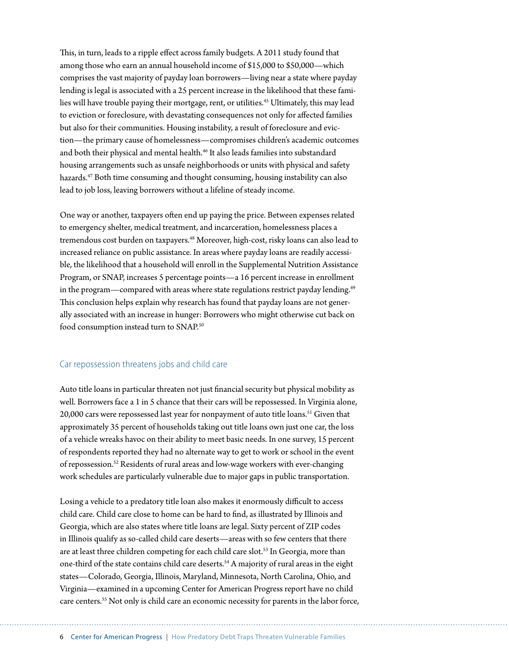This, in turn, leads to a ripple effect across family budgets. A 2011 study found that among those who earn an annual household income of \$15,000 to \$50,000—which comprises the vast majority of payday loan borrowers—living near a state where payday lending is legal is associated with a 25 percent increase in the likelihood that these families will have trouble paying their mortgage, rent, or utilities.<sup>45</sup> Ultimately, this may lead to eviction or foreclosure, with devastating consequences not only for affected families but also for their communities. Housing instability, a result of foreclosure and eviction—the primary cause of homelessness—compromises children's academic outcomes and both their physical and mental health.<sup>46</sup> It also leads families into substandard housing arrangements such as unsafe neighborhoods or units with physical and safety hazards.47 Both time consuming and thought consuming, housing instability can also lead to job loss, leaving borrowers without a lifeline of steady income.

One way or another, taxpayers often end up paying the price. Between expenses related to emergency shelter, medical treatment, and incarceration, homelessness places a tremendous cost burden on taxpayers.<sup>48</sup> Moreover, high-cost, risky loans can also lead to increased reliance on public assistance. In areas where payday loans are readily accessible, the likelihood that a household will enroll in the Supplemental Nutrition Assistance Program, or SNAP, increases 5 percentage points—a 16 percent increase in enrollment in the program—compared with areas where state regulations restrict payday lending.<sup>49</sup> This conclusion helps explain why research has found that payday loans are not generally associated with an increase in hunger: Borrowers who might otherwise cut back on food consumption instead turn to SNAP.<sup>50</sup>

### Car repossession threatens jobs and child care

Auto title loans in particular threaten not just financial security but physical mobility as well. Borrowers face a 1 in 5 chance that their cars will be repossessed. In Virginia alone, 20,000 cars were repossessed last year for nonpayment of auto title loans.<sup>51</sup> Given that approximately 35 percent of households taking out title loans own just one car, the loss of a vehicle wreaks havoc on their ability to meet basic needs. In one survey, 15 percent of respondents reported they had no alternate way to get to work or school in the event of repossession.52 Residents of rural areas and low-wage workers with ever-changing work schedules are particularly vulnerable due to major gaps in public transportation.

Losing a vehicle to a predatory title loan also makes it enormously difficult to access child care. Child care close to home can be hard to find, as illustrated by Illinois and Georgia, which are also states where title loans are legal. Sixty percent of ZIP codes in Illinois qualify as so-called child care deserts—areas with so few centers that there are at least three children competing for each child care slot.<sup>53</sup> In Georgia, more than one-third of the state contains child care deserts.<sup>54</sup> A majority of rural areas in the eight states—Colorado, Georgia, Illinois, Maryland, Minnesota, North Carolina, Ohio, and Virginia—examined in a upcoming Center for American Progress report have no child care centers.55 Not only is child care an economic necessity for parents in the labor force,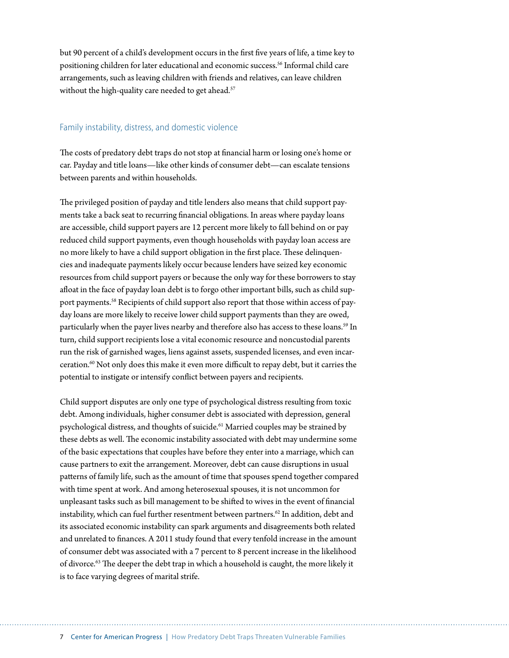but 90 percent of a child's development occurs in the first five years of life, a time key to positioning children for later educational and economic success.<sup>56</sup> Informal child care arrangements, such as leaving children with friends and relatives, can leave children without the high-quality care needed to get ahead.<sup>57</sup>

#### Family instability, distress, and domestic violence

The costs of predatory debt traps do not stop at financial harm or losing one's home or car. Payday and title loans—like other kinds of consumer debt—can escalate tensions between parents and within households.

The privileged position of payday and title lenders also means that child support payments take a back seat to recurring financial obligations. In areas where payday loans are accessible, child support payers are 12 percent more likely to fall behind on or pay reduced child support payments, even though households with payday loan access are no more likely to have a child support obligation in the first place. These delinquencies and inadequate payments likely occur because lenders have seized key economic resources from child support payers or because the only way for these borrowers to stay afloat in the face of payday loan debt is to forgo other important bills, such as child support payments.<sup>58</sup> Recipients of child support also report that those within access of payday loans are more likely to receive lower child support payments than they are owed, particularly when the payer lives nearby and therefore also has access to these loans.<sup>59</sup> In turn, child support recipients lose a vital economic resource and noncustodial parents run the risk of garnished wages, liens against assets, suspended licenses, and even incarceration.60 Not only does this make it even more difficult to repay debt, but it carries the potential to instigate or intensify conflict between payers and recipients.

Child support disputes are only one type of psychological distress resulting from toxic debt. Among individuals, higher consumer debt is associated with depression, general psychological distress, and thoughts of suicide.<sup>61</sup> Married couples may be strained by these debts as well. The economic instability associated with debt may undermine some of the basic expectations that couples have before they enter into a marriage, which can cause partners to exit the arrangement. Moreover, debt can cause disruptions in usual patterns of family life, such as the amount of time that spouses spend together compared with time spent at work. And among heterosexual spouses, it is not uncommon for unpleasant tasks such as bill management to be shifted to wives in the event of financial instability, which can fuel further resentment between partners.<sup>62</sup> In addition, debt and its associated economic instability can spark arguments and disagreements both related and unrelated to finances. A 2011 study found that every tenfold increase in the amount of consumer debt was associated with a 7 percent to 8 percent increase in the likelihood of divorce.63 The deeper the debt trap in which a household is caught, the more likely it is to face varying degrees of marital strife.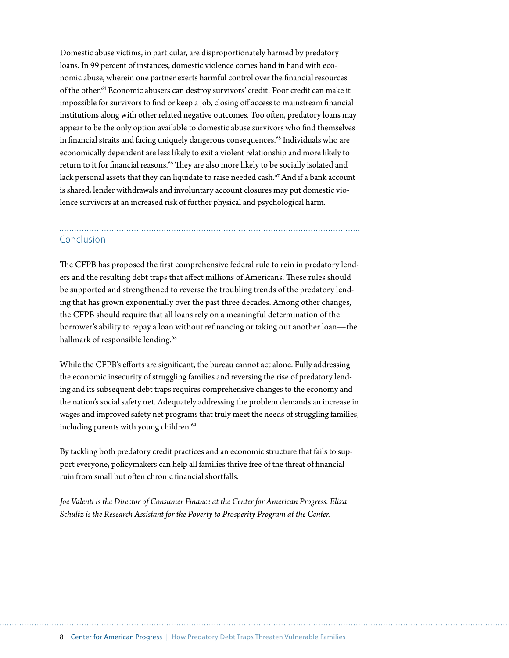Domestic abuse victims, in particular, are disproportionately harmed by predatory loans. In 99 percent of instances, domestic violence comes hand in hand with economic abuse, wherein one partner exerts harmful control over the financial resources of the other.64 Economic abusers can destroy survivors' credit: Poor credit can make it impossible for survivors to find or keep a job, closing off access to mainstream financial institutions along with other related negative outcomes. Too often, predatory loans may appear to be the only option available to domestic abuse survivors who find themselves in financial straits and facing uniquely dangerous consequences.<sup>65</sup> Individuals who are economically dependent are less likely to exit a violent relationship and more likely to return to it for financial reasons.<sup>66</sup> They are also more likely to be socially isolated and lack personal assets that they can liquidate to raise needed cash.<sup>67</sup> And if a bank account is shared, lender withdrawals and involuntary account closures may put domestic violence survivors at an increased risk of further physical and psychological harm.

### Conclusion

The CFPB has proposed the first comprehensive federal rule to rein in predatory lenders and the resulting debt traps that affect millions of Americans. These rules should be supported and strengthened to reverse the troubling trends of the predatory lending that has grown exponentially over the past three decades. Among other changes, the CFPB should require that all loans rely on a meaningful determination of the borrower's ability to repay a loan without refinancing or taking out another loan—the hallmark of responsible lending.<sup>68</sup>

While the CFPB's efforts are significant, the bureau cannot act alone. Fully addressing the economic insecurity of struggling families and reversing the rise of predatory lending and its subsequent debt traps requires comprehensive changes to the economy and the nation's social safety net. Adequately addressing the problem demands an increase in wages and improved safety net programs that truly meet the needs of struggling families, including parents with young children.<sup>69</sup>

By tackling both predatory credit practices and an economic structure that fails to support everyone, policymakers can help all families thrive free of the threat of financial ruin from small but often chronic financial shortfalls.

*Joe Valenti is the Director of Consumer Finance at the Center for American Progress. Eliza Schultz is the Research Assistant for the Poverty to Prosperity Program at the Center.*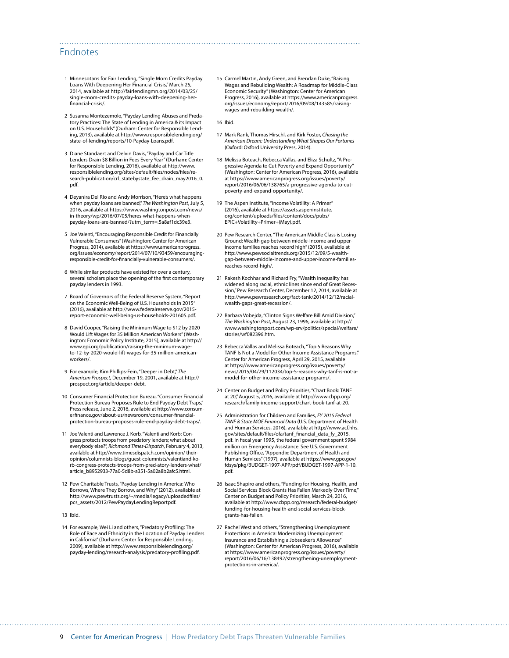### Endnotes

- 1 Minnesotans for Fair Lending, "Single Mom Credits Payday Loans With Deepening Her Financial Crisis," March 25, 2014, available at [http://fairlendingmn.org/2014/03/25/](http://fairlendingmn.org/2014/03/25/single-mom-credits-payday-loans-with-deepening-her-financial-crisis/) [single-mom-credits-payday-loans-with-deepening-her](http://fairlendingmn.org/2014/03/25/single-mom-credits-payday-loans-with-deepening-her-financial-crisis/)[financial-crisis/](http://fairlendingmn.org/2014/03/25/single-mom-credits-payday-loans-with-deepening-her-financial-crisis/).
- 2 Susanna Montezemolo, "Payday Lending Abuses and Predatory Practices: The State of Lending in America & its Impact on U.S. Households" (Durham: Center for Responsible Lending, 2013), available at [http://www.responsiblelending.org/](http://www.responsiblelending.org/state-of-lending/reports/10-Payday-Loans.pdf) [state-of-lending/reports/10-Payday-Loans.pdf.](http://www.responsiblelending.org/state-of-lending/reports/10-Payday-Loans.pdf)
- 3 Diane Standaert and Delvin Davis, "Payday and Car Title Lenders Drain \$8 Billion in Fees Every Year" (Durham: Center for Responsible Lending, 2016), available at [http://www.](http://www.responsiblelending.org/sites/default/files/nodes/files/research-publication/crl_statebystate_fee_drain_may2016_0.pdf) [responsiblelending.org/sites/default/files/nodes/files/re](http://www.responsiblelending.org/sites/default/files/nodes/files/research-publication/crl_statebystate_fee_drain_may2016_0.pdf)[search-publication/crl\\_statebystate\\_fee\\_drain\\_may2016\\_0.](http://www.responsiblelending.org/sites/default/files/nodes/files/research-publication/crl_statebystate_fee_drain_may2016_0.pdf) [pdf](http://www.responsiblelending.org/sites/default/files/nodes/files/research-publication/crl_statebystate_fee_drain_may2016_0.pdf).
- 4 Deyanira Del Rio and Andy Morrison, "Here's what happens when payday loans are banned," *The Washington Post*, July 5, 2016, available at [https://www.washingtonpost.com/news/](https://www.washingtonpost.com/news/in-theory/wp/2016/07/05/heres-what-happens-when-payday-loans-are-banned/?utm_term=.5a8af1dc39e3) [in-theory/wp/2016/07/05/heres-what-happens-when](https://www.washingtonpost.com/news/in-theory/wp/2016/07/05/heres-what-happens-when-payday-loans-are-banned/?utm_term=.5a8af1dc39e3)[payday-loans-are-banned/?utm\\_term=.5a8af1dc39e3](https://www.washingtonpost.com/news/in-theory/wp/2016/07/05/heres-what-happens-when-payday-loans-are-banned/?utm_term=.5a8af1dc39e3).
- 5 Joe Valenti, "Encouraging Responsible Credit for Financially Vulnerable Consumers" (Washington: Center for American Progress, 2014), available at [https://www.americanprogress.](https://www.americanprogress.org/issues/economy/report/2014/07/10/93459/encouraging-responsible-credit-for-financially-vulnerable-consumers/) [org/issues/economy/report/2014/07/10/93459/encouraging](https://www.americanprogress.org/issues/economy/report/2014/07/10/93459/encouraging-responsible-credit-for-financially-vulnerable-consumers/)[responsible-credit-for-financially-vulnerable-consumers/](https://www.americanprogress.org/issues/economy/report/2014/07/10/93459/encouraging-responsible-credit-for-financially-vulnerable-consumers/).
- 6 While similar products have existed for over a century, several scholars place the opening of the first contemporary payday lenders in 1993.
- 7 Board of Governors of the Federal Reserve System, "Report on the Economic Well-Being of U.S. Households in 2015" (2016), available at [http://www.federalreserve.gov/2015](http://www.federalreserve.gov/2015-report-economic-well-being-us-households-201605.pdf) [report-economic-well-being-us-households-201605.pdf.](http://www.federalreserve.gov/2015-report-economic-well-being-us-households-201605.pdf)
- 8 David Cooper, "Raising the Minimum Wage to \$12 by 2020 Would Lift Wages for 35 Million American Workers" (Washington: Economic Policy Institute, 2015), available at [http://](http://www.epi.org/publication/raising-the-minimum-wage-to-12-by-2020-would-lift-wages-for-35-million-american-workers/) [www.epi.org/publication/raising-the-minimum-wage](http://www.epi.org/publication/raising-the-minimum-wage-to-12-by-2020-would-lift-wages-for-35-million-american-workers/)[to-12-by-2020-would-lift-wages-for-35-million-american](http://www.epi.org/publication/raising-the-minimum-wage-to-12-by-2020-would-lift-wages-for-35-million-american-workers/)[workers/.](http://www.epi.org/publication/raising-the-minimum-wage-to-12-by-2020-would-lift-wages-for-35-million-american-workers/)
- 9 For example, Kim Phillips-Fein, "Deeper in Debt," *The American Prospect*, December 19, 2001, available at [http://](http://prospect.org/article/deeper-debt) [prospect.org/article/deeper-debt](http://prospect.org/article/deeper-debt).
- 10 Consumer Financial Protection Bureau, "Consumer Financial Protection Bureau Proposes Rule to End Payday Debt Traps," Press release, June 2, 2016, available at [http://www.consum](http://www.consumerfinance.gov/about-us/newsroom/consumer-financial-protection-bureau-proposes-rule-end-payday-debt-traps/)[erfinance.gov/about-us/newsroom/consumer-financial](http://www.consumerfinance.gov/about-us/newsroom/consumer-financial-protection-bureau-proposes-rule-end-payday-debt-traps/)[protection-bureau-proposes-rule-end-payday-debt-traps/](http://www.consumerfinance.gov/about-us/newsroom/consumer-financial-protection-bureau-proposes-rule-end-payday-debt-traps/).
- 11 Joe Valenti and Lawrence J. Korb, "Valenti and Korb: Congress protects troops from predatory lenders; what about everybody else?", *Richmond Times-Dispatch*, February 4, 2013, available at http://www.timesdispatch.com/opinion/ theiropinion/columnists-blogs/guest-columnists/valentiand-korb-congress-protects-troops-from-pred-atory-lenders-what/ article\_b8952933-77a0-5d8b-a351-5a02a8b2afc5.html.
- 12 Pew Charitable Trusts, "Payday Lending in America: Who Borrows, Where They Borrow, and Why" (2012), available at [http://www.pewtrusts.org/~/media/legacy/uploadedfiles/](http://www.pewtrusts.org/~/media/legacy/uploadedfiles/pcs_assets/2012/PewPaydayLendingReportpdf) [pcs\\_assets/2012/PewPaydayLendingReportpdf.](http://www.pewtrusts.org/~/media/legacy/uploadedfiles/pcs_assets/2012/PewPaydayLendingReportpdf)
- 13 Ibid.
- 14 For example, Wei Li and others, "Predatory Profiling: The Role of Race and Ethnicity in the Location of Payday Lenders in California" (Durham: Center for Responsible Lending, 2009), available at [http://www.responsiblelending.org/](http://www.responsiblelending.org/payday-lending/research-analysis/predatory-profiling.pdf) [payday-lending/research-analysis/predatory-profiling.pdf.](http://www.responsiblelending.org/payday-lending/research-analysis/predatory-profiling.pdf)

15 Carmel Martin, Andy Green, and Brendan Duke, "Raising Wages and Rebuilding Wealth: A Roadmap for Middle-Class Economic Security" (Washington: Center for American Progress, 2016), available at https://www.americanprogress. org/issues/economy/report/2016/09/08/143585/raisingwages-and-rebuilding-wealth/.

16 Ibid.

- 17 Mark Rank, Thomas Hirschl, and Kirk Foster, *Chasing the American Dream: Understanding What Shapes Our Fortunes* (Oxford: Oxford University Press, 2014).
- 18 Melissa Boteach, Rebecca Vallas, and Eliza Schultz, "A Progressive Agenda to Cut Poverty and Expand Opportunity" (Washington: Center for American Progress, 2016), available at https://www.americanprogress.org/issues/poverty/ report/2016/06/06/138765/a-progressive-agenda-to-cutpoverty-and-expand-opportunity/.
- 19 The Aspen Institute, "Income Volatility: A Primer" (2016), available at [https://assets.aspeninstitute.](https://assets.aspeninstitute.org/content/uploads/files/content/docs/pubs/EPIC+Volatility+Primer+(May).pdf) [org/content/uploads/files/content/docs/pubs/](https://assets.aspeninstitute.org/content/uploads/files/content/docs/pubs/EPIC+Volatility+Primer+(May).pdf) [EPIC+Volatility+Primer+\(May\).pdf.](https://assets.aspeninstitute.org/content/uploads/files/content/docs/pubs/EPIC+Volatility+Primer+(May).pdf)
- 20 Pew Research Center, "The American Middle Class is Losing Ground: Wealth gap between middle-income and upperincome families reaches record high" (2015), available at [http://www.pewsocialtrends.org/2015/12/09/5-wealth](http://www.pewsocialtrends.org/2015/12/09/5-wealth-gap-between-middle-income-and-upper-income-families-reaches-record-high/)[gap-between-middle-income-and-upper-income-families](http://www.pewsocialtrends.org/2015/12/09/5-wealth-gap-between-middle-income-and-upper-income-families-reaches-record-high/)[reaches-record-high/](http://www.pewsocialtrends.org/2015/12/09/5-wealth-gap-between-middle-income-and-upper-income-families-reaches-record-high/).
- 21 Rakesh Kochhar and Richard Fry, "Wealth inequality has widened along racial, ethnic lines since end of Great Recession," Pew Research Center, December 12, 2014, available at [http://www.pewresearch.org/fact-tank/2014/12/12/racial](http://www.pewresearch.org/fact-tank/2014/12/12/racial-wealth-gaps-great-recession/)[wealth-gaps-great-recession/.](http://www.pewresearch.org/fact-tank/2014/12/12/racial-wealth-gaps-great-recession/)
- 22 Barbara Vobejda, "Clinton Signs Welfare Bill Amid Division," *The Washington Post*, August 23, 1996, available at [http://](http://www.washingtonpost.com/wp-srv/politics/special/welfare/stories/wf082396.htm) [www.washingtonpost.com/wp-srv/politics/special/welfare/](http://www.washingtonpost.com/wp-srv/politics/special/welfare/stories/wf082396.htm) [stories/wf082396.htm](http://www.washingtonpost.com/wp-srv/politics/special/welfare/stories/wf082396.htm).
- 23 Rebecca Vallas and Melissa Boteach, "Top 5 Reasons Why TANF Is Not a Model for Other Income Assistance Programs," Center for American Progress, April 29, 2015, available at [https://www.americanprogress.org/issues/poverty/](https://www.americanprogress.org/issues/poverty/news/2015/04/29/112034/top-5-reasons-why-tanf-is-not-a-model-for-other-income-assistance-programs/) [news/2015/04/29/112034/top-5-reasons-why-tanf-is-not-a](https://www.americanprogress.org/issues/poverty/news/2015/04/29/112034/top-5-reasons-why-tanf-is-not-a-model-for-other-income-assistance-programs/)[model-for-other-income-assistance-programs/](https://www.americanprogress.org/issues/poverty/news/2015/04/29/112034/top-5-reasons-why-tanf-is-not-a-model-for-other-income-assistance-programs/).
- 24 Center on Budget and Policy Priorities, "Chart Book: TANF at 20," August 5, 2016, available at [http://www.cbpp.org/](http://www.cbpp.org/research/family-income-support/chart-book-tanf-at-20) [research/family-income-support/chart-book-tanf-at-20.](http://www.cbpp.org/research/family-income-support/chart-book-tanf-at-20)
- 25 Administration for Children and Families, *FY 2015 Federal TANF & State MOE Financial Data* (U.S. Department of Health and Human Services, 2016), available at http://www.acf.hhs. gov/sites/default/files/ofa/tanf\_financial\_data\_fy\_2015. pdf. In fiscal year 1995, the federal government spent \$984 million on Emergency Assistance. See U.S. Government Publishing Office, "Appendix: Department of Health and Human Services" (1997), available at [https://www.gpo.gov/](https://www.gpo.gov/fdsys/pkg/BUDGET-1997-APP/pdf/BUDGET-1997-APP-1-10.pdf) [fdsys/pkg/BUDGET-1997-APP/pdf/BUDGET-1997-APP-1-10.](https://www.gpo.gov/fdsys/pkg/BUDGET-1997-APP/pdf/BUDGET-1997-APP-1-10.pdf) [pdf](https://www.gpo.gov/fdsys/pkg/BUDGET-1997-APP/pdf/BUDGET-1997-APP-1-10.pdf).
- 26 Isaac Shapiro and others, "Funding for Housing, Health, and Social Services Block Grants Has Fallen Markedly Over Time," Center on Budget and Policy Priorities, March 24, 2016, available at [http://www.cbpp.org/research/federal-budget/](http://www.cbpp.org/research/federal-budget/funding-for-housing-health-and-social-services-block-grants-has-fallen) [funding-for-housing-health-and-social-services-block](http://www.cbpp.org/research/federal-budget/funding-for-housing-health-and-social-services-block-grants-has-fallen)[grants-has-fallen.](http://www.cbpp.org/research/federal-budget/funding-for-housing-health-and-social-services-block-grants-has-fallen)
- 27 Rachel West and others, "Strengthening Unemployment Protections in America: Modernizing Unemployment Insurance and Establishing a Jobseeker's Allowance" (Washington: Center for American Progress, 2016), available at https://www.americanprogress.org/issues/poverty/ report/2016/06/16/138492/strengthening-unemploymentprotections-in-america/.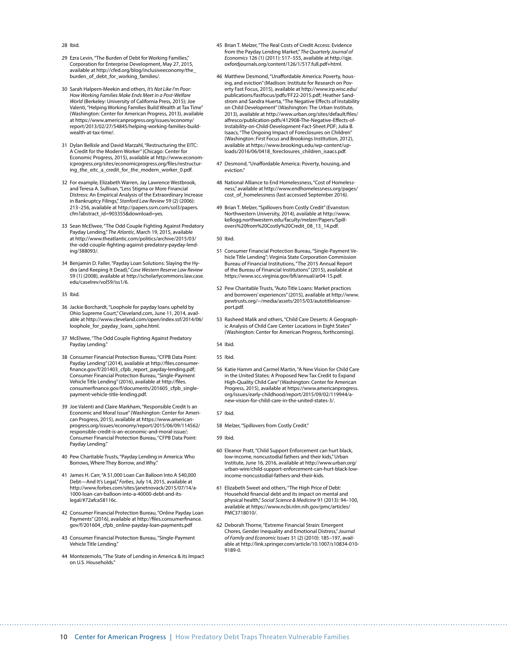- 28 Ibid.
- 29 Ezra Levin, "The Burden of Debt for Working Families." Corporation for Enterprise Development, May 27, 2015, available at [http://cfed.org/blog/inclusiveeconomy/the\\_](http://cfed.org/blog/inclusiveeconomy/the_burden_of_debt_for_working_families/) [burden\\_of\\_debt\\_for\\_working\\_families/](http://cfed.org/blog/inclusiveeconomy/the_burden_of_debt_for_working_families/).
- 30 Sarah Halpern-Meekin and others, *It's Not Like I'm Poor: How Working Families Make Ends Meet in a Post-Welfare World* (Berkeley: University of California Press, 2015); Joe Valenti, "Helping Working Families Build Wealth at Tax Time" (Washington: Center for American Progress, 2013), available at [https://www.americanprogress.org/issues/economy/](https://www.americanprogress.org/issues/economy/report/2013/02/27/54845/helping-working-families-build-wealth-at-tax-time/) [report/2013/02/27/54845/helping-working-families-build](https://www.americanprogress.org/issues/economy/report/2013/02/27/54845/helping-working-families-build-wealth-at-tax-time/)[wealth-at-tax-time/](https://www.americanprogress.org/issues/economy/report/2013/02/27/54845/helping-working-families-build-wealth-at-tax-time/).
- 31 Dylan Bellisle and David Marzahl, "Restructuring the EITC: A Credit for the Modern Worker" (Chicago: Center for Economic Progress, 2015), available at [http://www.econom](http://www.economicprogress.org/sites/economicprogress.org/files/restructuring_the_eitc_a_credit_for_the_modern_worker_0.pdf)[icprogress.org/sites/economicprogress.org/files/restructur](http://www.economicprogress.org/sites/economicprogress.org/files/restructuring_the_eitc_a_credit_for_the_modern_worker_0.pdf)[ing\\_the\\_eitc\\_a\\_credit\\_for\\_the\\_modern\\_worker\\_0.pdf](http://www.economicprogress.org/sites/economicprogress.org/files/restructuring_the_eitc_a_credit_for_the_modern_worker_0.pdf).
- 32 For example, Elizabeth Warren, Jay Lawrence Westbrook, and Teresa A. Sullivan, "Less Stigma or More Financial Distress: An Empirical Analysis of the Extraordinary Increase in Bankruptcy Filings," *Stanford Law Review* 59 (2) (2006): 213–256, available at [http://papers.ssrn.com/sol3/papers.](http://papers.ssrn.com/sol3/papers.cfm?abstract_id=903355&download=yes) [cfm?abstract\\_id=903355&download=yes](http://papers.ssrn.com/sol3/papers.cfm?abstract_id=903355&download=yes).
- 33 Sean McElwee, "The Odd Couple Fighting Against Predatory Payday Lending," *The Atlantic*, March 19, 2015, available at http://www.theatlantic.com/politics/archive/2015/03/ the-odd-couple-fighting-against-predatory-payday-lending/388093/.
- 34 Benjamin D. Faller, "Payday Loan Solutions: Slaying the Hydra (and Keeping It Dead)," *Case Western Reserve Law Review* 59 (1) (2008), available at [http://scholarlycommons.law.case.](http://scholarlycommons.law.case.edu/caselrev/vol59/iss1/6) [edu/caselrev/vol59/iss1/6](http://scholarlycommons.law.case.edu/caselrev/vol59/iss1/6).
- 35 Ibid.
- 36 Jackie Borchardt, "Loophole for payday loans upheld by Ohio Supreme Court," Cleveland.com, June 11, 2014, available at http://www.cleveland.com/open/index.ssf/2014/06/ loophole\_for\_payday\_loans\_uphe.html.
- 37 McElwee, "The Odd Couple Fighting Against Predatory Payday Lending."
- 38 Consumer Financial Protection Bureau, "CFPB Data Point: Payday Lending" (2014), available at [http://files.consumer](http://files.consumerfinance.gov/f/201403_cfpb_report_payday-lending.pdf)[finance.gov/f/201403\\_cfpb\\_report\\_payday-lending.pdf;](http://files.consumerfinance.gov/f/201403_cfpb_report_payday-lending.pdf) Consumer Financial Protection Bureau, "Single-Payment Vehicle Title Lending" (2016), available at [http://files.](http://files.consumerfinance.gov/f/documents/201605_cfpb_single-payment-vehicle-title-lending.pdf) [consumerfinance.gov/f/documents/201605\\_cfpb\\_single](http://files.consumerfinance.gov/f/documents/201605_cfpb_single-payment-vehicle-title-lending.pdf)[payment-vehicle-title-lending.pdf](http://files.consumerfinance.gov/f/documents/201605_cfpb_single-payment-vehicle-title-lending.pdf).
- 39 Joe Valenti and Claire Markham, "Responsible Credit Is an Economic and Moral Issue" (Washington: Center for American Progress, 2015), available at [https://www.american](https://www.americanprogress.org/issues/economy/report/2015/06/09/114562/responsible-credit-is-an-economic-and-moral-issue/)[progress.org/issues/economy/report/2015/06/09/114562/](https://www.americanprogress.org/issues/economy/report/2015/06/09/114562/responsible-credit-is-an-economic-and-moral-issue/) [responsible-credit-is-an-economic-and-moral-issue/;](https://www.americanprogress.org/issues/economy/report/2015/06/09/114562/responsible-credit-is-an-economic-and-moral-issue/) Consumer Financial Protection Bureau, "CFPB Data Point: Payday Lending."
- 40 Pew Charitable Trusts, "Payday Lending in America: Who Borrows, Where They Borrow, and Why."
- 41 James H. Carr, "A \$1,000 Loan Can Balloon Into A \$40,000 Debt—And It's Legal," *Forbes*, July 14, 2015, available at http://www.forbes.com/sites/janetnovack/2015/07/14/a-1000-loan-can-balloon-into-a-40000-debt-and-itslegal/#72afca58116c.
- 42 Consumer Financial Protection Bureau, "Online Payday Loan Payments" (2016), available at [http://files.consumerfinance.](http://files.consumerfinance.gov/f/201604_cfpb_online-payday-loan-payments.pdf) [gov/f/201604\\_cfpb\\_online-payday-loan-payments.pdf](http://files.consumerfinance.gov/f/201604_cfpb_online-payday-loan-payments.pdf)
- 43 Consumer Financial Protection Bureau, "Single-Payment Vehicle Title Lending."
- 44 Montezemolo, "The State of Lending in America & its Impact on U.S. Households."
- 45 Brian T. Melzer, "The Real Costs of Credit Access: Evidence from the Payday Lending Market," *The Quarterly Journal of Economics* 126 (1) (2011): 517–555, available at [http://qje.](http://qje.oxfordjournals.org/content/126/1/517.full.pdf+html) [oxfordjournals.org/content/126/1/517.full.pdf+html](http://qje.oxfordjournals.org/content/126/1/517.full.pdf+html).
- 46 Matthew Desmond, "Unaffordable America: Poverty, housing, and eviction" (Madison: Institute for Research on Poverty Fast Focus, 2015), available at [http://www.irp.wisc.edu/](http://www.irp.wisc.edu/publications/fastfocus/pdfs/FF22-2015.pdf) [publications/fastfocus/pdfs/FF22-2015.pdf;](http://www.irp.wisc.edu/publications/fastfocus/pdfs/FF22-2015.pdf) Heather Sandstrom and Sandra Huerta, "The Negative Effects of Instability on Child Development" (Washington: The Urban Institute, 2013), available at [http://www.urban.org/sites/default/files/](http://www.urban.org/sites/default/files/alfresco/publication-pdfs/412908-The-Negative-Effects-of-Instability-on-Child-Development-Fact-Sheet.PDF) [alfresco/publication-pdfs/412908-The-Negative-Effects-of-](http://www.urban.org/sites/default/files/alfresco/publication-pdfs/412908-The-Negative-Effects-of-Instability-on-Child-Development-Fact-Sheet.PDF)[Instability-on-Child-Development-Fact-Sheet.PDF](http://www.urban.org/sites/default/files/alfresco/publication-pdfs/412908-The-Negative-Effects-of-Instability-on-Child-Development-Fact-Sheet.PDF); Julia B. Isaacs, "The Ongoing Impact of Foreclosures on Children" (Washington: First Focus and Brookings Institution, 2012), available at [https://www.brookings.edu/wp-content/up](https://www.brookings.edu/wp-content/uploads/2016/06/0418_foreclosures_children_isaacs.pdf)[loads/2016/06/0418\\_foreclosures\\_children\\_isaacs.pdf.](https://www.brookings.edu/wp-content/uploads/2016/06/0418_foreclosures_children_isaacs.pdf)
- 47 Desmond, "Unaffordable America: Poverty, housing, and eviction."
- 48 National Alliance to End Homelessness, "Cost of Homelessness," available at [http://www.endhomelessness.org/pages/](http://www.endhomelessness.org/pages/cost_of_homelessness) [cost\\_of\\_homelessness](http://www.endhomelessness.org/pages/cost_of_homelessness) (last accessed September 2016).
- 49 Brian T. Melzer, "Spillovers from Costly Credit" (Evanston: Northwestern University, 2014), available at [http://www.](http://www.kellogg.northwestern.edu/faculty/melzer/Papers/Spillovers%20from%20Costly%20Credit_08_13_14.pdf) [kellogg.northwestern.edu/faculty/melzer/Papers/Spill](http://www.kellogg.northwestern.edu/faculty/melzer/Papers/Spillovers%20from%20Costly%20Credit_08_13_14.pdf)[overs%20from%20Costly%20Credit\\_08\\_13\\_14.pdf](http://www.kellogg.northwestern.edu/faculty/melzer/Papers/Spillovers%20from%20Costly%20Credit_08_13_14.pdf).
- 50 Ibid.
- 51 Consumer Financial Protection Bureau, "Single-Payment Vehicle Title Lending"; Virginia State Corporation Commission Bureau of Financial Institutions, "The 2015 Annual Report of the Bureau of Financial Institutions" (2015), available at [https://www.scc.virginia.gov/bfi/annual/ar04-15.pdf.](https://www.scc.virginia.gov/bfi/annual/ar04-15.pdf)
- 52 Pew Charitable Trusts, "Auto Title Loans: Market practices and borrowers' experiences" (2015), available at [http://www.](http://www.pewtrusts.org/~/media/assets/2015/03/autotitleloansreport.pdf) [pewtrusts.org/~/media/assets/2015/03/autotitleloansre](http://www.pewtrusts.org/~/media/assets/2015/03/autotitleloansreport.pdf)[port.pdf](http://www.pewtrusts.org/~/media/assets/2015/03/autotitleloansreport.pdf).
- 53 Rasheed Malik and others, "Child Care Deserts: A Geographic Analysis of Child Care Center Locations in Eight States" (Washington: Center for American Progress, forthcoming).
- 54 Ibid.
- 55 Ibid.
- 56 Katie Hamm and Carmel Martin, "A New Vision for Child Care in the United States: A Proposed New Tax Credit to Expand High-Quality Child Care" (Washington: Center for American Progress, 2015), available at https://www.americanprogress. org/issues/early-childhood/report/2015/09/02/119944/anew-vision-for-child-care-in-the-united-states-3/.
- 57 Ibid.
- 58 Melzer, "Spillovers from Costly Credit."
- 59 Ibid.
- 60 Eleanor Pratt, "Child Support Enforcement can hurt black, low-income, noncustodial fathers and their kids," Urban Institute, June 16, 2016, available at [http://www.urban.org/](http://www.urban.org/urban-wire/child-support-enforcement-can-hurt-black-low-income-noncustodial-fathers-and-their-kids) [urban-wire/child-support-enforcement-can-hurt-black-low](http://www.urban.org/urban-wire/child-support-enforcement-can-hurt-black-low-income-noncustodial-fathers-and-their-kids)[income-noncustodial-fathers-and-their-kids.](http://www.urban.org/urban-wire/child-support-enforcement-can-hurt-black-low-income-noncustodial-fathers-and-their-kids)
- 61 Elizabeth Sweet and others, "The High Price of Debt: Household financial debt and its impact on mental and physical health," *Social Science & Medicine* 91 (2013): 94–100, available at [https://www.ncbi.nlm.nih.gov/pmc/articles/](https://www.ncbi.nlm.nih.gov/pmc/articles/PMC3718010/) [PMC3718010/](https://www.ncbi.nlm.nih.gov/pmc/articles/PMC3718010/).
- 62 Deborah Thorne, "Extreme Financial Strain: Emergent Chores, Gender Inequality and Emotional Distress," *Journal of Family and Economic Issues* 31 (2) (2010): 185–197, available at [http://link.springer.com/article/10.1007/s10834-010-](http://link.springer.com/article/10.1007/s10834-010-9189-0) [9189-0](http://link.springer.com/article/10.1007/s10834-010-9189-0).